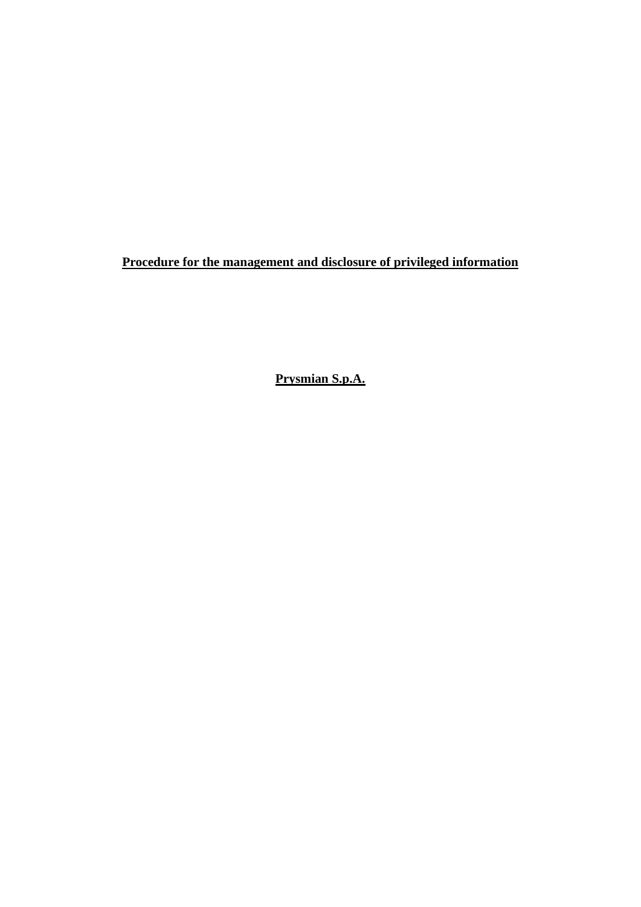**Procedure for the management and disclosure of privileged information**

**Prysmian S.p.A.**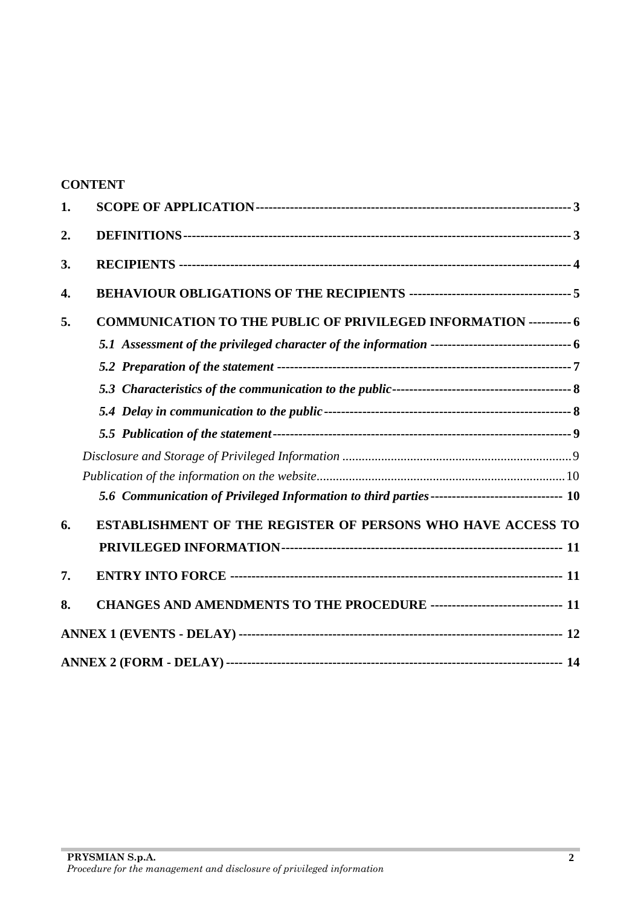|    | <b>CONTENT</b>                                                                                 |
|----|------------------------------------------------------------------------------------------------|
| 1. |                                                                                                |
| 2. |                                                                                                |
| 3. |                                                                                                |
| 4. |                                                                                                |
| 5. | <b>COMMUNICATION TO THE PUBLIC OF PRIVILEGED INFORMATION ---------- 6</b>                      |
|    |                                                                                                |
|    |                                                                                                |
|    |                                                                                                |
|    |                                                                                                |
|    |                                                                                                |
|    |                                                                                                |
|    |                                                                                                |
|    | 5.6 Communication of Privileged Information to third parties ------------------------------ 10 |
| 6. | <b>ESTABLISHMENT OF THE REGISTER OF PERSONS WHO HAVE ACCESS TO</b>                             |
|    |                                                                                                |
| 7. |                                                                                                |
| 8. | CHANGES AND AMENDMENTS TO THE PROCEDURE ------------------------------ 11                      |
|    |                                                                                                |
|    |                                                                                                |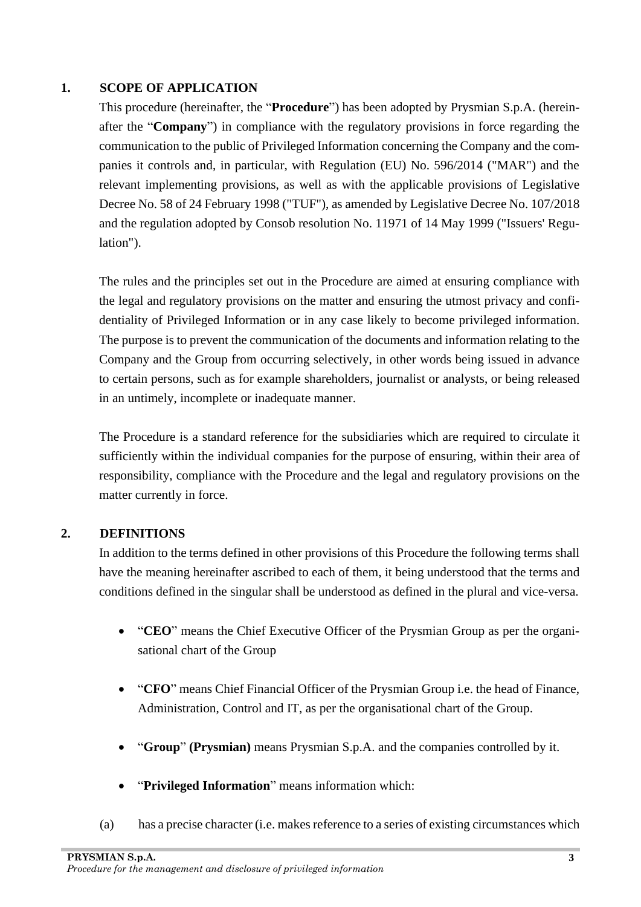### <span id="page-2-0"></span>**1. SCOPE OF APPLICATION**

This procedure (hereinafter, the "**Procedure**") has been adopted by Prysmian S.p.A. (hereinafter the "**Company**") in compliance with the regulatory provisions in force regarding the communication to the public of Privileged Information concerning the Company and the companies it controls and, in particular, with Regulation (EU) No. 596/2014 ("MAR") and the relevant implementing provisions, as well as with the applicable provisions of Legislative Decree No. 58 of 24 February 1998 ("TUF"), as amended by Legislative Decree No. 107/2018 and the regulation adopted by Consob resolution No. 11971 of 14 May 1999 ("Issuers' Regulation").

The rules and the principles set out in the Procedure are aimed at ensuring compliance with the legal and regulatory provisions on the matter and ensuring the utmost privacy and confidentiality of Privileged Information or in any case likely to become privileged information. The purpose is to prevent the communication of the documents and information relating to the Company and the Group from occurring selectively, in other words being issued in advance to certain persons, such as for example shareholders, journalist or analysts, or being released in an untimely, incomplete or inadequate manner.

The Procedure is a standard reference for the subsidiaries which are required to circulate it sufficiently within the individual companies for the purpose of ensuring, within their area of responsibility, compliance with the Procedure and the legal and regulatory provisions on the matter currently in force.

### <span id="page-2-1"></span>**2. DEFINITIONS**

In addition to the terms defined in other provisions of this Procedure the following terms shall have the meaning hereinafter ascribed to each of them, it being understood that the terms and conditions defined in the singular shall be understood as defined in the plural and vice-versa.

- "**CEO**" means the Chief Executive Officer of the Prysmian Group as per the organisational chart of the Group
- "**CFO**" means Chief Financial Officer of the Prysmian Group i.e. the head of Finance, Administration, Control and IT, as per the organisational chart of the Group.
- "**Group**" **(Prysmian)** means Prysmian S.p.A. and the companies controlled by it.
- "**Privileged Information**" means information which:
- (a) has a precise character (i.e. makes reference to a series of existing circumstances which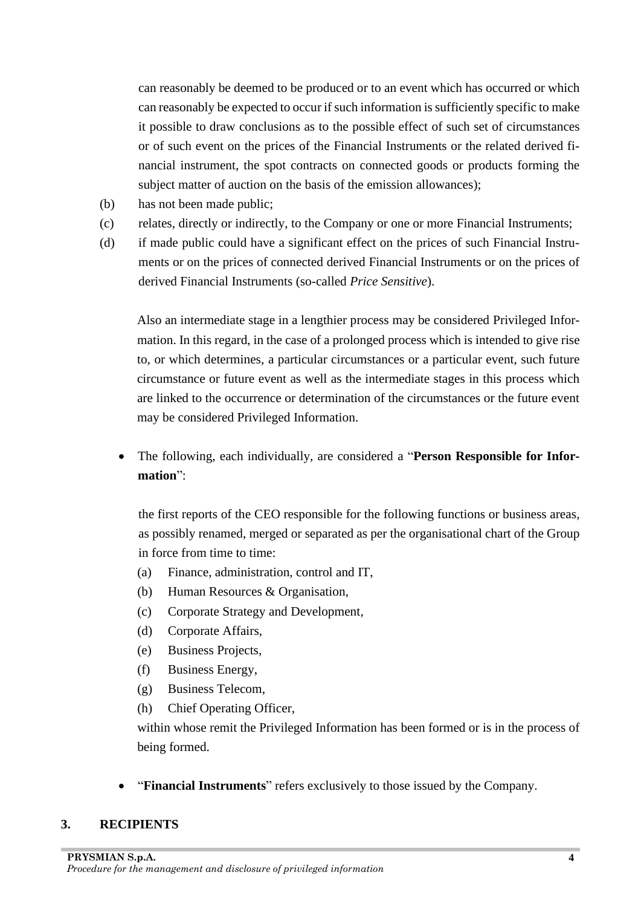can reasonably be deemed to be produced or to an event which has occurred or which can reasonably be expected to occur if such information is sufficiently specific to make it possible to draw conclusions as to the possible effect of such set of circumstances or of such event on the prices of the Financial Instruments or the related derived financial instrument, the spot contracts on connected goods or products forming the subject matter of auction on the basis of the emission allowances);

- (b) has not been made public;
- (c) relates, directly or indirectly, to the Company or one or more Financial Instruments;
- (d) if made public could have a significant effect on the prices of such Financial Instruments or on the prices of connected derived Financial Instruments or on the prices of derived Financial Instruments (so-called *Price Sensitive*).

Also an intermediate stage in a lengthier process may be considered Privileged Information. In this regard, in the case of a prolonged process which is intended to give rise to, or which determines, a particular circumstances or a particular event, such future circumstance or future event as well as the intermediate stages in this process which are linked to the occurrence or determination of the circumstances or the future event may be considered Privileged Information.

• The following, each individually, are considered a "**Person Responsible for Information**":

the first reports of the CEO responsible for the following functions or business areas, as possibly renamed, merged or separated as per the organisational chart of the Group in force from time to time:

- (a) Finance, administration, control and IT,
- (b) Human Resources & Organisation,
- (c) Corporate Strategy and Development*,*
- (d) Corporate Affairs,
- (e) Business Projects,
- (f) Business Energy,
- (g) Business Telecom,
- (h) Chief Operating Officer,

within whose remit the Privileged Information has been formed or is in the process of being formed.

• "**Financial Instruments**" refers exclusively to those issued by the Company.

#### <span id="page-3-0"></span>**3. RECIPIENTS**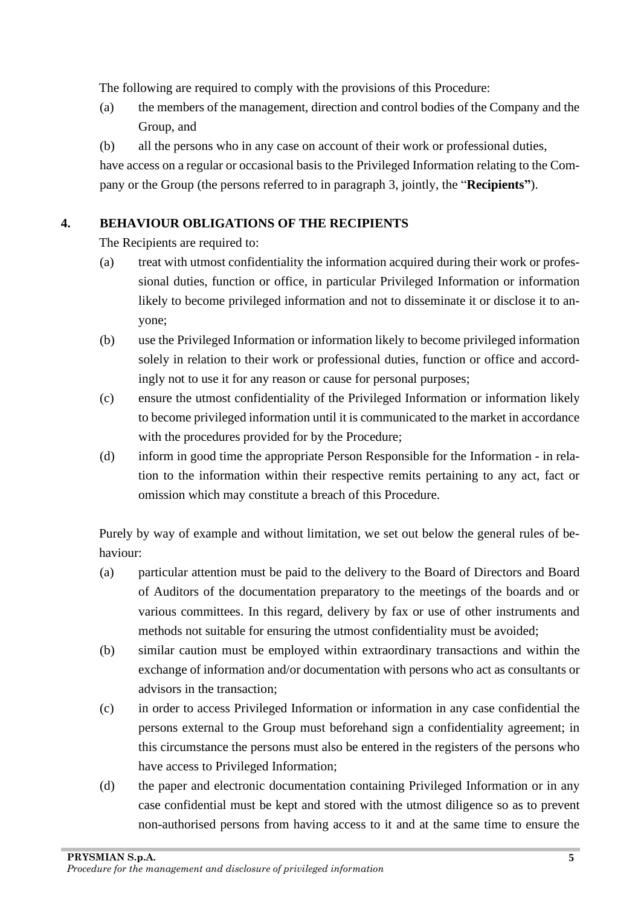The following are required to comply with the provisions of this Procedure:

- (a) the members of the management, direction and control bodies of the Company and the Group, and
- (b) all the persons who in any case on account of their work or professional duties,

have access on a regular or occasional basis to the Privileged Information relating to the Company or the Group (the persons referred to in paragraph 3, jointly, the "**Recipients"**).

### <span id="page-4-0"></span>**4. BEHAVIOUR OBLIGATIONS OF THE RECIPIENTS**

The Recipients are required to:

- (a) treat with utmost confidentiality the information acquired during their work or professional duties, function or office, in particular Privileged Information or information likely to become privileged information and not to disseminate it or disclose it to anyone;
- (b) use the Privileged Information or information likely to become privileged information solely in relation to their work or professional duties, function or office and accordingly not to use it for any reason or cause for personal purposes;
- (c) ensure the utmost confidentiality of the Privileged Information or information likely to become privileged information until it is communicated to the market in accordance with the procedures provided for by the Procedure;
- (d) inform in good time the appropriate Person Responsible for the Information in relation to the information within their respective remits pertaining to any act, fact or omission which may constitute a breach of this Procedure.

Purely by way of example and without limitation, we set out below the general rules of behaviour:

- (a) particular attention must be paid to the delivery to the Board of Directors and Board of Auditors of the documentation preparatory to the meetings of the boards and or various committees. In this regard, delivery by fax or use of other instruments and methods not suitable for ensuring the utmost confidentiality must be avoided;
- (b) similar caution must be employed within extraordinary transactions and within the exchange of information and/or documentation with persons who act as consultants or advisors in the transaction;
- (c) in order to access Privileged Information or information in any case confidential the persons external to the Group must beforehand sign a confidentiality agreement; in this circumstance the persons must also be entered in the registers of the persons who have access to Privileged Information;
- (d) the paper and electronic documentation containing Privileged Information or in any case confidential must be kept and stored with the utmost diligence so as to prevent non-authorised persons from having access to it and at the same time to ensure the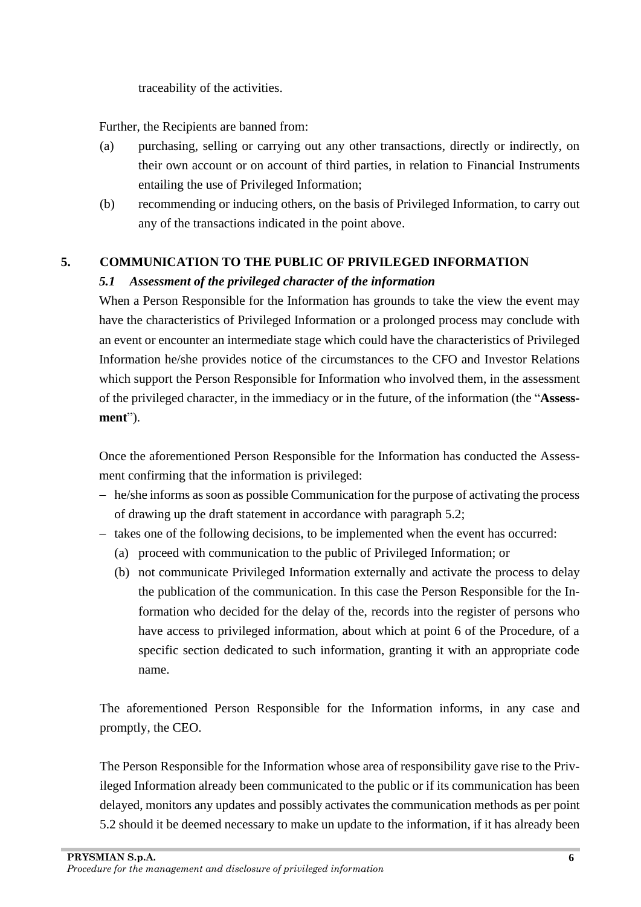traceability of the activities.

Further, the Recipients are banned from:

- (a) purchasing, selling or carrying out any other transactions, directly or indirectly, on their own account or on account of third parties, in relation to Financial Instruments entailing the use of Privileged Information;
- (b) recommending or inducing others, on the basis of Privileged Information, to carry out any of the transactions indicated in the point above.

### <span id="page-5-1"></span><span id="page-5-0"></span>**5. COMMUNICATION TO THE PUBLIC OF PRIVILEGED INFORMATION**

### *5.1 Assessment of the privileged character of the information*

When a Person Responsible for the Information has grounds to take the view the event may have the characteristics of Privileged Information or a prolonged process may conclude with an event or encounter an intermediate stage which could have the characteristics of Privileged Information he/she provides notice of the circumstances to the CFO and Investor Relations which support the Person Responsible for Information who involved them, in the assessment of the privileged character, in the immediacy or in the future, of the information (the "**Assessment**").

Once the aforementioned Person Responsible for the Information has conducted the Assessment confirming that the information is privileged:

- − he/she informs as soon as possible Communication for the purpose of activating the process of drawing up the draft statement in accordance with paragraph 5.2;
- − takes one of the following decisions, to be implemented when the event has occurred:
	- (a) proceed with communication to the public of Privileged Information; or
	- (b) not communicate Privileged Information externally and activate the process to delay the publication of the communication. In this case the Person Responsible for the Information who decided for the delay of the, records into the register of persons who have access to privileged information, about which at point 6 of the Procedure, of a specific section dedicated to such information, granting it with an appropriate code name.

The aforementioned Person Responsible for the Information informs, in any case and promptly, the CEO.

The Person Responsible for the Information whose area of responsibility gave rise to the Privileged Information already been communicated to the public or if its communication has been delayed, monitors any updates and possibly activates the communication methods as per point 5.2 should it be deemed necessary to make un update to the information, if it has already been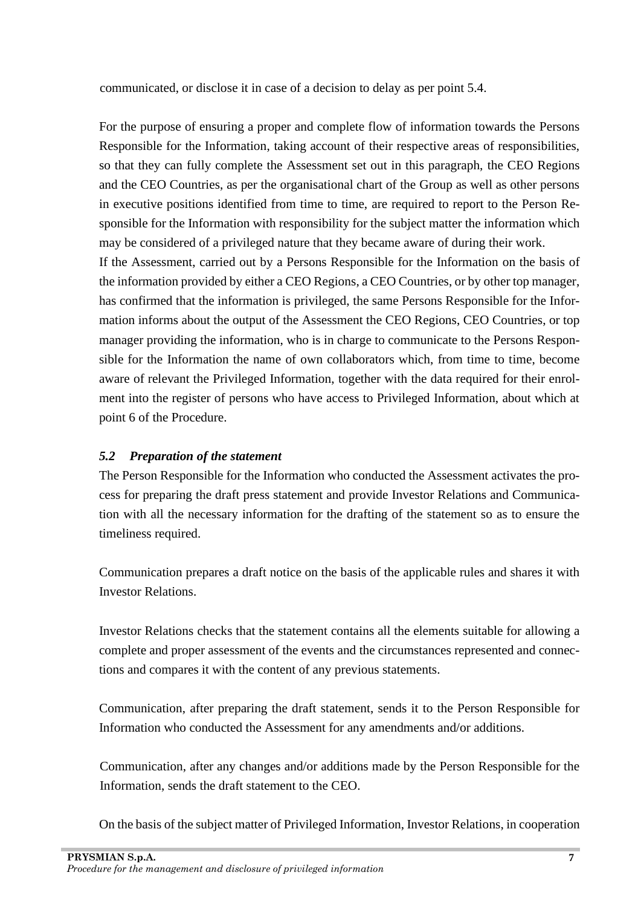communicated, or disclose it in case of a decision to delay as per point 5.4.

For the purpose of ensuring a proper and complete flow of information towards the Persons Responsible for the Information, taking account of their respective areas of responsibilities, so that they can fully complete the Assessment set out in this paragraph, the CEO Regions and the CEO Countries, as per the organisational chart of the Group as well as other persons in executive positions identified from time to time, are required to report to the Person Responsible for the Information with responsibility for the subject matter the information which may be considered of a privileged nature that they became aware of during their work.

If the Assessment, carried out by a Persons Responsible for the Information on the basis of the information provided by either a CEO Regions, a CEO Countries, or by other top manager, has confirmed that the information is privileged, the same Persons Responsible for the Information informs about the output of the Assessment the CEO Regions, CEO Countries, or top manager providing the information, who is in charge to communicate to the Persons Responsible for the Information the name of own collaborators which, from time to time, become aware of relevant the Privileged Information, together with the data required for their enrolment into the register of persons who have access to Privileged Information, about which at point 6 of the Procedure.

### <span id="page-6-0"></span>*5.2 Preparation of the statement*

The Person Responsible for the Information who conducted the Assessment activates the process for preparing the draft press statement and provide Investor Relations and Communication with all the necessary information for the drafting of the statement so as to ensure the timeliness required.

Communication prepares a draft notice on the basis of the applicable rules and shares it with Investor Relations.

Investor Relations checks that the statement contains all the elements suitable for allowing a complete and proper assessment of the events and the circumstances represented and connections and compares it with the content of any previous statements.

Communication, after preparing the draft statement, sends it to the Person Responsible for Information who conducted the Assessment for any amendments and/or additions.

Communication, after any changes and/or additions made by the Person Responsible for the Information, sends the draft statement to the CEO.

On the basis of the subject matter of Privileged Information, Investor Relations, in cooperation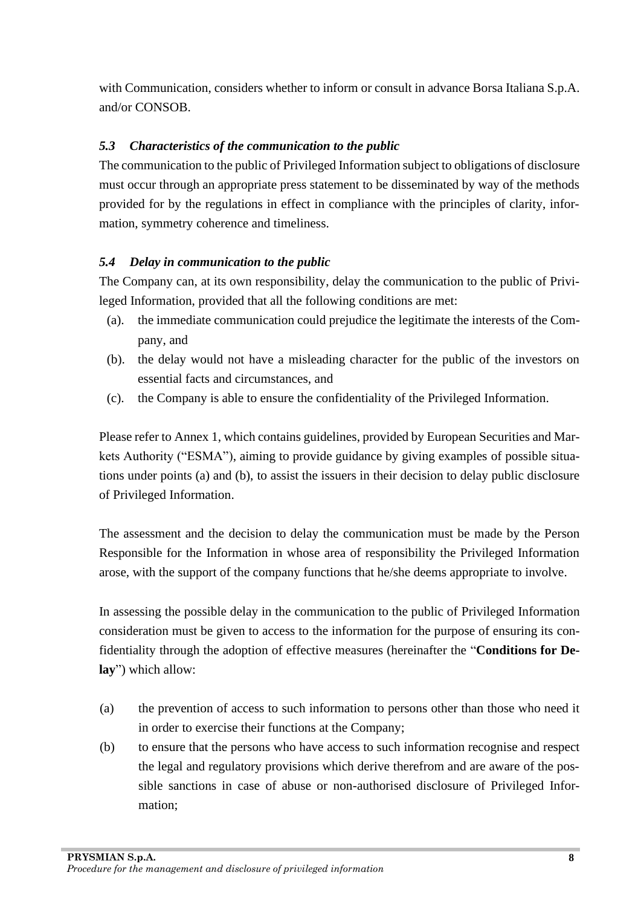with Communication, considers whether to inform or consult in advance Borsa Italiana S.p.A. and/or CONSOB.

### <span id="page-7-0"></span>*5.3 Characteristics of the communication to the public*

The communication to the public of Privileged Information subject to obligations of disclosure must occur through an appropriate press statement to be disseminated by way of the methods provided for by the regulations in effect in compliance with the principles of clarity, information, symmetry coherence and timeliness.

### <span id="page-7-1"></span>*5.4 Delay in communication to the public*

The Company can, at its own responsibility, delay the communication to the public of Privileged Information, provided that all the following conditions are met:

- (a). the immediate communication could prejudice the legitimate the interests of the Company, and
- (b). the delay would not have a misleading character for the public of the investors on essential facts and circumstances, and
- (c). the Company is able to ensure the confidentiality of the Privileged Information.

Please refer to Annex 1, which contains guidelines, provided by European Securities and Markets Authority ("ESMA"), aiming to provide guidance by giving examples of possible situations under points (a) and (b), to assist the issuers in their decision to delay public disclosure of Privileged Information.

The assessment and the decision to delay the communication must be made by the Person Responsible for the Information in whose area of responsibility the Privileged Information arose, with the support of the company functions that he/she deems appropriate to involve.

In assessing the possible delay in the communication to the public of Privileged Information consideration must be given to access to the information for the purpose of ensuring its confidentiality through the adoption of effective measures (hereinafter the "**Conditions for Delay**") which allow:

- (a) the prevention of access to such information to persons other than those who need it in order to exercise their functions at the Company;
- (b) to ensure that the persons who have access to such information recognise and respect the legal and regulatory provisions which derive therefrom and are aware of the possible sanctions in case of abuse or non-authorised disclosure of Privileged Information;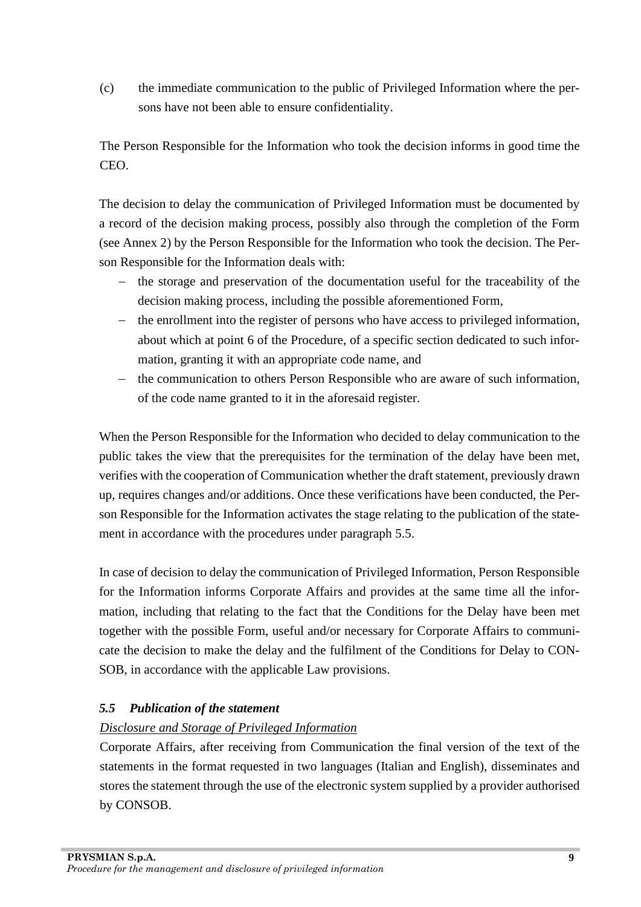(c) the immediate communication to the public of Privileged Information where the persons have not been able to ensure confidentiality.

The Person Responsible for the Information who took the decision informs in good time the CEO.

The decision to delay the communication of Privileged Information must be documented by a record of the decision making process, possibly also through the completion of the Form (see Annex 2) by the Person Responsible for the Information who took the decision. The Person Responsible for the Information deals with:

- − the storage and preservation of the documentation useful for the traceability of the decision making process, including the possible aforementioned Form,
- − the enrollment into the register of persons who have access to privileged information, about which at point 6 of the Procedure, of a specific section dedicated to such information, granting it with an appropriate code name, and
- − the communication to others Person Responsible who are aware of such information, of the code name granted to it in the aforesaid register.

When the Person Responsible for the Information who decided to delay communication to the public takes the view that the prerequisites for the termination of the delay have been met, verifies with the cooperation of Communication whether the draft statement, previously drawn up, requires changes and/or additions. Once these verifications have been conducted, the Person Responsible for the Information activates the stage relating to the publication of the statement in accordance with the procedures under paragraph 5.5.

In case of decision to delay the communication of Privileged Information, Person Responsible for the Information informs Corporate Affairs and provides at the same time all the information, including that relating to the fact that the Conditions for the Delay have been met together with the possible Form, useful and/or necessary for Corporate Affairs to communicate the decision to make the delay and the fulfilment of the Conditions for Delay to CON-SOB, in accordance with the applicable Law provisions.

### <span id="page-8-0"></span>*5.5 Publication of the statement*

# <span id="page-8-1"></span>*Disclosure and Storage of Privileged Information*

Corporate Affairs, after receiving from Communication the final version of the text of the statements in the format requested in two languages (Italian and English), disseminates and stores the statement through the use of the electronic system supplied by a provider authorised by CONSOB.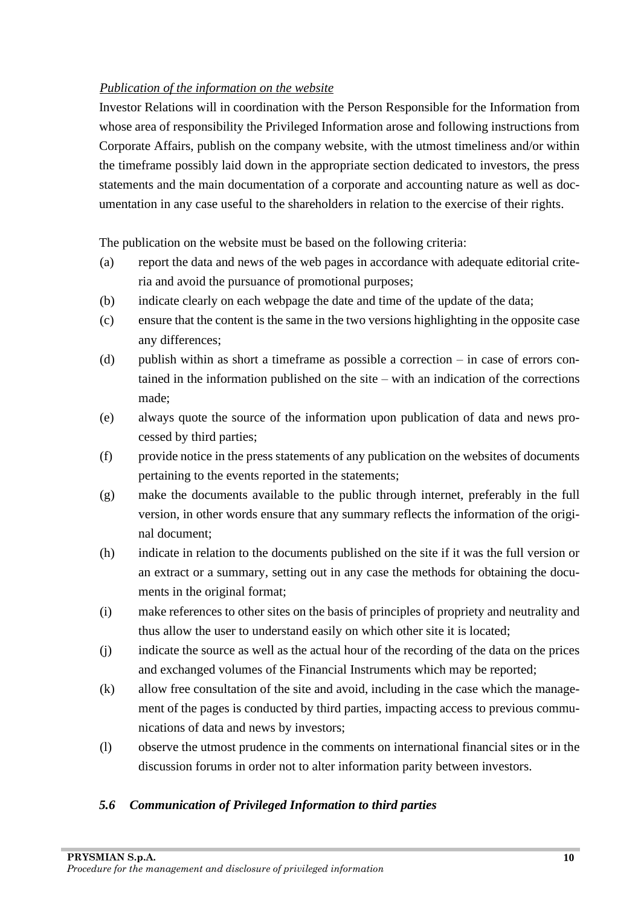### <span id="page-9-0"></span>*Publication of the information on the website*

Investor Relations will in coordination with the Person Responsible for the Information from whose area of responsibility the Privileged Information arose and following instructions from Corporate Affairs, publish on the company website, with the utmost timeliness and/or within the timeframe possibly laid down in the appropriate section dedicated to investors, the press statements and the main documentation of a corporate and accounting nature as well as documentation in any case useful to the shareholders in relation to the exercise of their rights.

The publication on the website must be based on the following criteria:

- (a) report the data and news of the web pages in accordance with adequate editorial criteria and avoid the pursuance of promotional purposes;
- (b) indicate clearly on each webpage the date and time of the update of the data;
- (c) ensure that the content is the same in the two versions highlighting in the opposite case any differences;
- (d) publish within as short a timeframe as possible a correction  $-$  in case of errors contained in the information published on the site – with an indication of the corrections made;
- (e) always quote the source of the information upon publication of data and news processed by third parties;
- (f) provide notice in the press statements of any publication on the websites of documents pertaining to the events reported in the statements;
- (g) make the documents available to the public through internet, preferably in the full version, in other words ensure that any summary reflects the information of the original document;
- (h) indicate in relation to the documents published on the site if it was the full version or an extract or a summary, setting out in any case the methods for obtaining the documents in the original format;
- (i) make references to other sites on the basis of principles of propriety and neutrality and thus allow the user to understand easily on which other site it is located;
- (j) indicate the source as well as the actual hour of the recording of the data on the prices and exchanged volumes of the Financial Instruments which may be reported;
- (k) allow free consultation of the site and avoid, including in the case which the management of the pages is conducted by third parties, impacting access to previous communications of data and news by investors;
- (l) observe the utmost prudence in the comments on international financial sites or in the discussion forums in order not to alter information parity between investors.

# <span id="page-9-1"></span>*5.6 Communication of Privileged Information to third parties*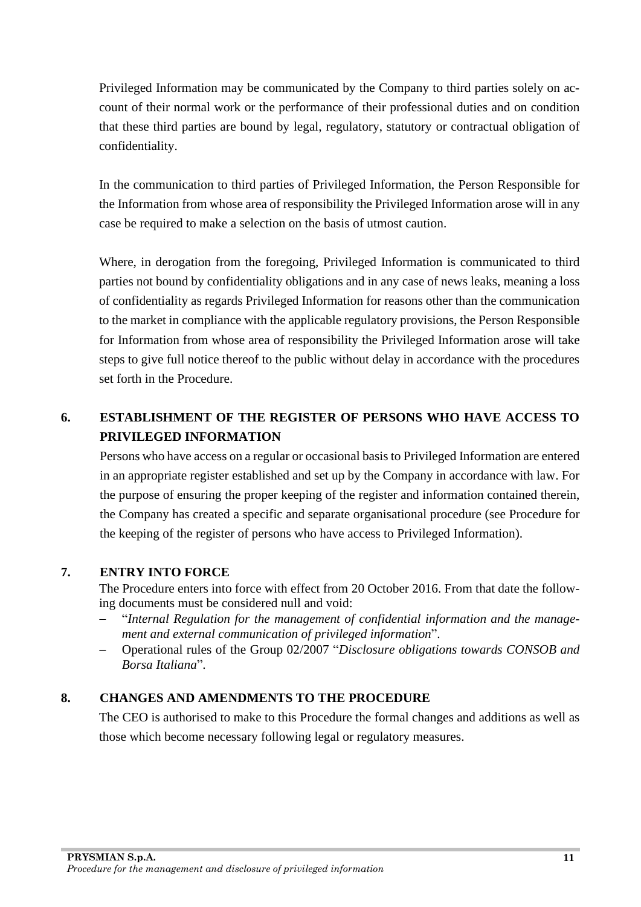Privileged Information may be communicated by the Company to third parties solely on account of their normal work or the performance of their professional duties and on condition that these third parties are bound by legal, regulatory, statutory or contractual obligation of confidentiality.

In the communication to third parties of Privileged Information, the Person Responsible for the Information from whose area of responsibility the Privileged Information arose will in any case be required to make a selection on the basis of utmost caution.

Where, in derogation from the foregoing, Privileged Information is communicated to third parties not bound by confidentiality obligations and in any case of news leaks, meaning a loss of confidentiality as regards Privileged Information for reasons other than the communication to the market in compliance with the applicable regulatory provisions, the Person Responsible for Information from whose area of responsibility the Privileged Information arose will take steps to give full notice thereof to the public without delay in accordance with the procedures set forth in the Procedure.

# <span id="page-10-0"></span>**6. ESTABLISHMENT OF THE REGISTER OF PERSONS WHO HAVE ACCESS TO PRIVILEGED INFORMATION**

Persons who have access on a regular or occasional basis to Privileged Information are entered in an appropriate register established and set up by the Company in accordance with law. For the purpose of ensuring the proper keeping of the register and information contained therein, the Company has created a specific and separate organisational procedure (see Procedure for the keeping of the register of persons who have access to Privileged Information).

#### <span id="page-10-1"></span>**7. ENTRY INTO FORCE**

The Procedure enters into force with effect from 20 October 2016. From that date the following documents must be considered null and void:

- − "*Internal Regulation for the management of confidential information and the management and external communication of privileged information*".
- − Operational rules of the Group 02/2007 "*Disclosure obligations towards CONSOB and Borsa Italiana*".

### <span id="page-10-2"></span>**8. CHANGES AND AMENDMENTS TO THE PROCEDURE**

The CEO is authorised to make to this Procedure the formal changes and additions as well as those which become necessary following legal or regulatory measures.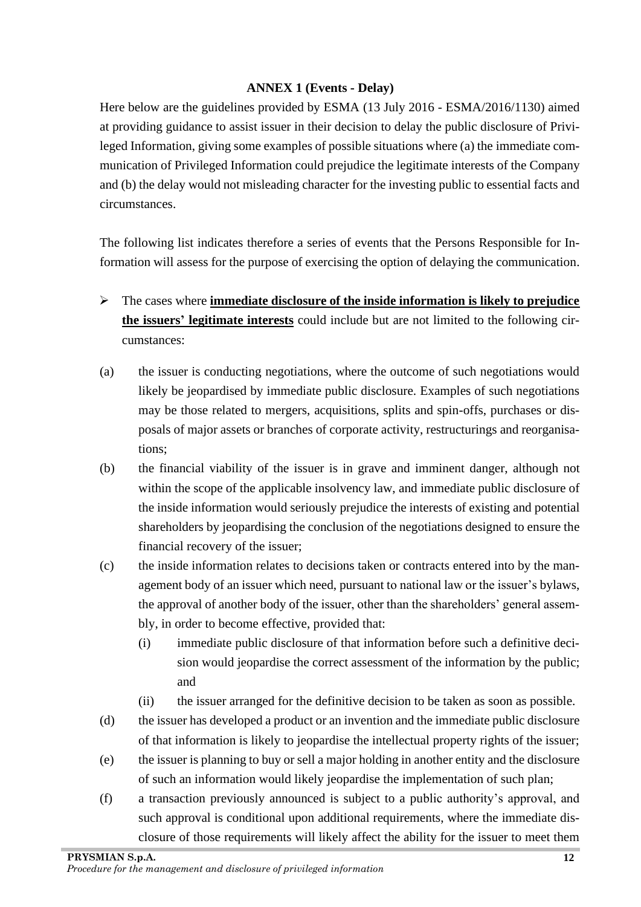#### **ANNEX 1 (Events - Delay)**

<span id="page-11-0"></span>Here below are the guidelines provided by ESMA (13 July 2016 - ESMA/2016/1130) aimed at providing guidance to assist issuer in their decision to delay the public disclosure of Privileged Information, giving some examples of possible situations where (a) the immediate communication of Privileged Information could prejudice the legitimate interests of the Company and (b) the delay would not misleading character for the investing public to essential facts and circumstances.

The following list indicates therefore a series of events that the Persons Responsible for Information will assess for the purpose of exercising the option of delaying the communication.

- ➢ The cases where **immediate disclosure of the inside information is likely to prejudice the issuers' legitimate interests** could include but are not limited to the following circumstances:
- (a) the issuer is conducting negotiations, where the outcome of such negotiations would likely be jeopardised by immediate public disclosure. Examples of such negotiations may be those related to mergers, acquisitions, splits and spin-offs, purchases or disposals of major assets or branches of corporate activity, restructurings and reorganisations;
- (b) the financial viability of the issuer is in grave and imminent danger, although not within the scope of the applicable insolvency law, and immediate public disclosure of the inside information would seriously prejudice the interests of existing and potential shareholders by jeopardising the conclusion of the negotiations designed to ensure the financial recovery of the issuer;
- (c) the inside information relates to decisions taken or contracts entered into by the management body of an issuer which need, pursuant to national law or the issuer's bylaws, the approval of another body of the issuer, other than the shareholders' general assembly, in order to become effective, provided that:
	- (i) immediate public disclosure of that information before such a definitive decision would jeopardise the correct assessment of the information by the public; and
	- (ii) the issuer arranged for the definitive decision to be taken as soon as possible.
- (d) the issuer has developed a product or an invention and the immediate public disclosure of that information is likely to jeopardise the intellectual property rights of the issuer;
- (e) the issuer is planning to buy or sell a major holding in another entity and the disclosure of such an information would likely jeopardise the implementation of such plan;
- (f) a transaction previously announced is subject to a public authority's approval, and such approval is conditional upon additional requirements, where the immediate disclosure of those requirements will likely affect the ability for the issuer to meet them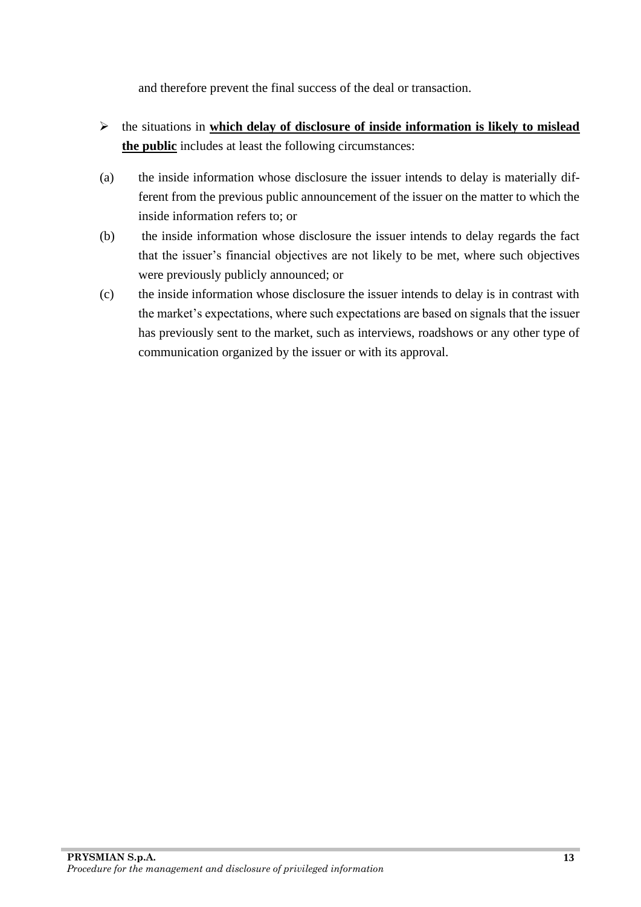and therefore prevent the final success of the deal or transaction.

- ➢ the situations in **which delay of disclosure of inside information is likely to mislead the public** includes at least the following circumstances:
- (a) the inside information whose disclosure the issuer intends to delay is materially different from the previous public announcement of the issuer on the matter to which the inside information refers to; or
- (b) the inside information whose disclosure the issuer intends to delay regards the fact that the issuer's financial objectives are not likely to be met, where such objectives were previously publicly announced; or
- (c) the inside information whose disclosure the issuer intends to delay is in contrast with the market's expectations, where such expectations are based on signals that the issuer has previously sent to the market, such as interviews, roadshows or any other type of communication organized by the issuer or with its approval.